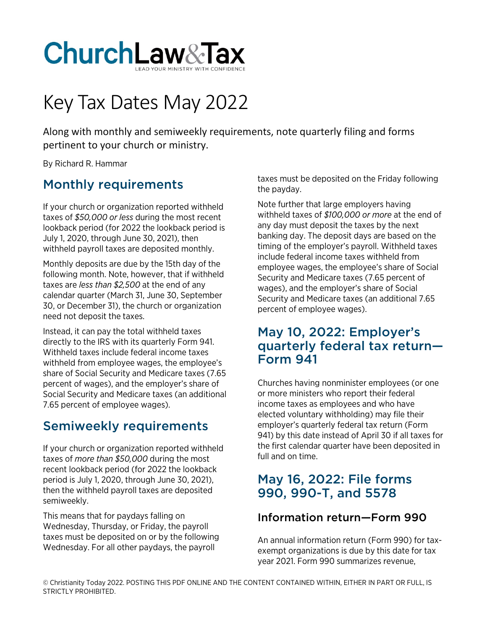

# Key Tax Dates May 2022

Along with monthly and semiweekly requirements, note quarterly filing and forms pertinent to your church or ministry.

By Richard R. Hammar

# Monthly requirements

If your church or organization reported withheld taxes of *\$50,000 or less* during the most recent lookback period (for 2022 the lookback period is July 1, 2020, through June 30, 2021), then withheld payroll taxes are deposited monthly.

Monthly deposits are due by the 15th day of the following month. Note, however, that if withheld taxes are *less than \$2,500* at the end of any calendar quarter (March 31, June 30, September 30, or December 31), the church or organization need not deposit the taxes.

Instead, it can pay the total withheld taxes directly to the IRS with its quarterly Form 941. Withheld taxes include federal income taxes withheld from employee wages, the employee's share of Social Security and Medicare taxes (7.65 percent of wages), and the employer's share of Social Security and Medicare taxes (an additional 7.65 percent of employee wages).

# Semiweekly requirements

If your church or organization reported withheld taxes of *more than \$50,000* during the most recent lookback period (for 2022 the lookback period is July 1, 2020, through June 30, 2021), then the withheld payroll taxes are deposited semiweekly.

This means that for paydays falling on Wednesday, Thursday, or Friday, the payroll taxes must be deposited on or by the following Wednesday. For all other paydays, the payroll

taxes must be deposited on the Friday following the payday.

Note further that large employers having withheld taxes of *\$100,000 or more* at the end of any day must deposit the taxes by the next banking day. The deposit days are based on the timing of the employer's payroll. Withheld taxes include federal income taxes withheld from employee wages, the employee's share of Social Security and Medicare taxes (7.65 percent of wages), and the employer's share of Social Security and Medicare taxes (an additional 7.65 percent of employee wages).

### May 10, 2022: Employer's quarterly federal tax return— Form 941

Churches having nonminister employees (or one or more ministers who report their federal income taxes as employees and who have elected voluntary withholding) may file their employer's quarterly federal tax return (Form 941) by this date instead of April 30 if all taxes for the first calendar quarter have been deposited in full and on time.

## May 16, 2022: File forms 990, 990-T, and 5578

#### Information return—Form 990

An annual information return (Form 990) for taxexempt organizations is due by this date for tax year 2021. Form 990 summarizes revenue,